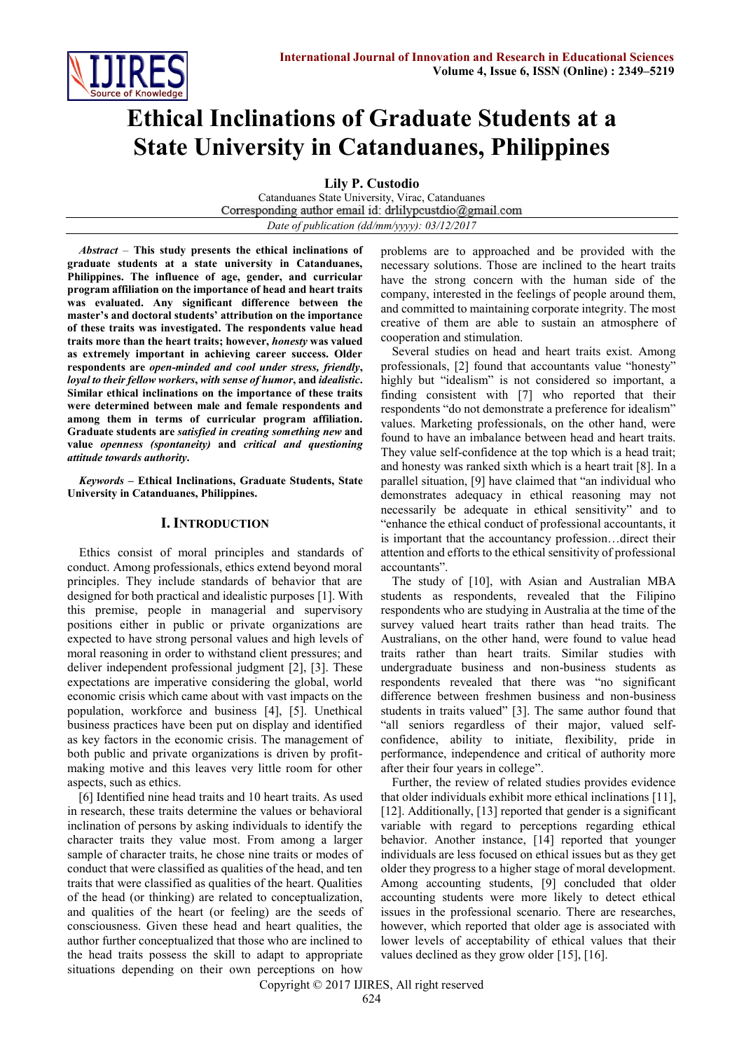

# **Ethical Inclinations of Graduate Students at a State University in Catanduanes, Philippines**

**Lily P. Custodio**

Catanduanes State University, Virac, Catanduanes Corresponding author email id: drlilypcustdio@gmail.com *Date of publication (dd/mm/yyyy): 03/12/2017*

*Abstract* – **This study presents the ethical inclinations of graduate students at a state university in Catanduanes, Philippines. The influence of age, gender, and curricular program affiliation on the importance of head and heart traits was evaluated. Any significant difference between the master's and doctoral students' attribution on the importance of these traits was investigated. The respondents value head traits more than the heart traits; however,** *honesty* **was valued as extremely important in achieving career success. Older respondents are** *open-minded and cool under stress, friendly***,**  *loyal to their fellow workers***,** *with sense of humor***, and** *idealistic***. Similar ethical inclinations on the importance of these traits were determined between male and female respondents and among them in terms of curricular program affiliation. Graduate students are** *satisfied in creating something new* **and value** *openness (spontaneity)* **and** *critical and questioning attitude towards authority***.**

*Keywords* **– Ethical Inclinations, Graduate Students, State University in Catanduanes, Philippines.**

# **I. INTRODUCTION**

Ethics consist of moral principles and standards of conduct. Among professionals, ethics extend beyond moral principles. They include standards of behavior that are designed for both practical and idealistic purposes [1]. With this premise, people in managerial and supervisory positions either in public or private organizations are expected to have strong personal values and high levels of moral reasoning in order to withstand client pressures; and deliver independent professional judgment [2], [3]. These expectations are imperative considering the global, world economic crisis which came about with vast impacts on the population, workforce and business [4], [5]. Unethical business practices have been put on display and identified as key factors in the economic crisis. The management of both public and private organizations is driven by profitmaking motive and this leaves very little room for other aspects, such as ethics.

[6] Identified nine head traits and 10 heart traits. As used in research, these traits determine the values or behavioral inclination of persons by asking individuals to identify the character traits they value most. From among a larger sample of character traits, he chose nine traits or modes of conduct that were classified as qualities of the head, and ten traits that were classified as qualities of the heart. Qualities of the head (or thinking) are related to conceptualization, and qualities of the heart (or feeling) are the seeds of consciousness. Given these head and heart qualities, the author further conceptualized that those who are inclined to the head traits possess the skill to adapt to appropriate situations depending on their own perceptions on how

problems are to approached and be provided with the necessary solutions. Those are inclined to the heart traits have the strong concern with the human side of the company, interested in the feelings of people around them, and committed to maintaining corporate integrity. The most creative of them are able to sustain an atmosphere of cooperation and stimulation.

Several studies on head and heart traits exist. Among professionals, [2] found that accountants value "honesty" highly but "idealism" is not considered so important, a finding consistent with [7] who reported that their respondents "do not demonstrate a preference for idealism" values. Marketing professionals, on the other hand, were found to have an imbalance between head and heart traits. They value self-confidence at the top which is a head trait; and honesty was ranked sixth which is a heart trait [8]. In a parallel situation, [9] have claimed that "an individual who demonstrates adequacy in ethical reasoning may not necessarily be adequate in ethical sensitivity" and to "enhance the ethical conduct of professional accountants, it is important that the accountancy profession…direct their attention and efforts to the ethical sensitivity of professional accountants".

The study of [10], with Asian and Australian MBA students as respondents, revealed that the Filipino respondents who are studying in Australia at the time of the survey valued heart traits rather than head traits. The Australians, on the other hand, were found to value head traits rather than heart traits. Similar studies with undergraduate business and non-business students as respondents revealed that there was "no significant difference between freshmen business and non-business students in traits valued" [3]. The same author found that "all seniors regardless of their major, valued selfconfidence, ability to initiate, flexibility, pride in performance, independence and critical of authority more after their four years in college".

Further, the review of related studies provides evidence that older individuals exhibit more ethical inclinations [11], [12]. Additionally, [13] reported that gender is a significant variable with regard to perceptions regarding ethical behavior. Another instance, [14] reported that younger individuals are less focused on ethical issues but as they get older they progress to a higher stage of moral development. Among accounting students, [9] concluded that older accounting students were more likely to detect ethical issues in the professional scenario. There are researches, however, which reported that older age is associated with lower levels of acceptability of ethical values that their values declined as they grow older [15], [16].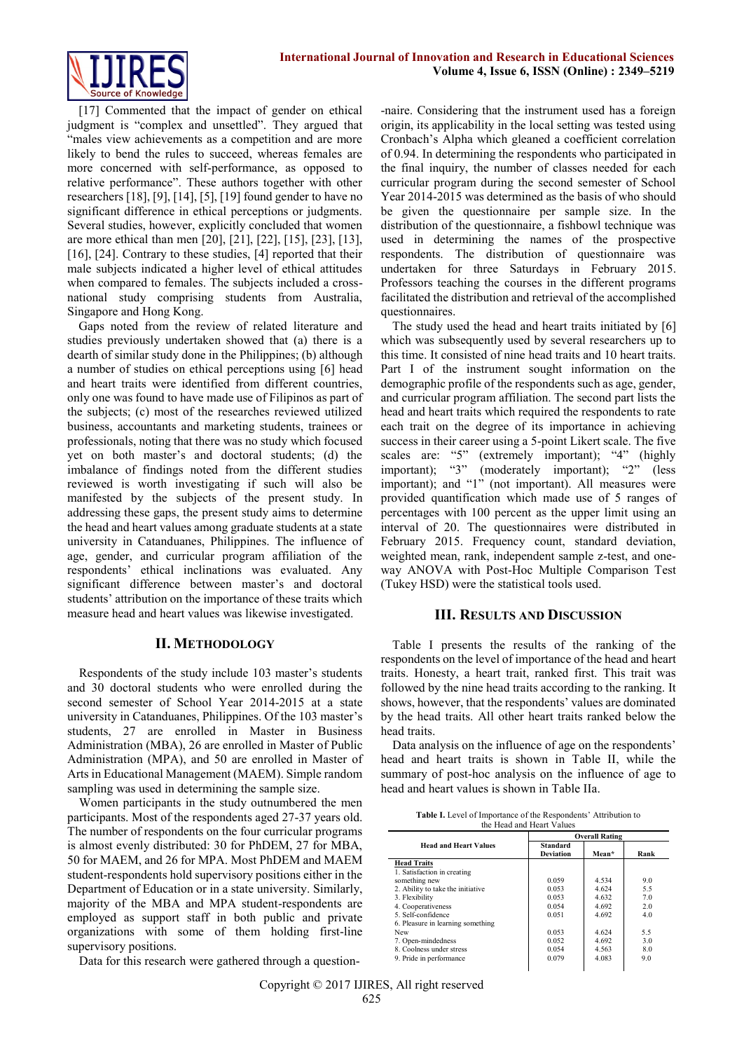

[17] Commented that the impact of gender on ethical judgment is "complex and unsettled". They argued that "males view achievements as a competition and are more likely to bend the rules to succeed, whereas females are more concerned with self-performance, as opposed to relative performance". These authors together with other researchers [18], [9], [14], [5], [19] found gender to have no significant difference in ethical perceptions or judgments. Several studies, however, explicitly concluded that women are more ethical than men [20], [21], [22], [15], [23], [13], [16], [24]. Contrary to these studies, [4] reported that their male subjects indicated a higher level of ethical attitudes when compared to females. The subjects included a crossnational study comprising students from Australia, Singapore and Hong Kong.

Gaps noted from the review of related literature and studies previously undertaken showed that (a) there is a dearth of similar study done in the Philippines; (b) although a number of studies on ethical perceptions using [6] head and heart traits were identified from different countries, only one was found to have made use of Filipinos as part of the subjects; (c) most of the researches reviewed utilized business, accountants and marketing students, trainees or professionals, noting that there was no study which focused yet on both master's and doctoral students; (d) the imbalance of findings noted from the different studies reviewed is worth investigating if such will also be manifested by the subjects of the present study. In addressing these gaps, the present study aims to determine the head and heart values among graduate students at a state university in Catanduanes, Philippines. The influence of age, gender, and curricular program affiliation of the respondents' ethical inclinations was evaluated. Any significant difference between master's and doctoral students' attribution on the importance of these traits which measure head and heart values was likewise investigated.

## **II. METHODOLOGY**

Respondents of the study include 103 master's students and 30 doctoral students who were enrolled during the second semester of School Year 2014-2015 at a state university in Catanduanes, Philippines. Of the 103 master's students, 27 are enrolled in Master in Business Administration (MBA), 26 are enrolled in Master of Public Administration (MPA), and 50 are enrolled in Master of Arts in Educational Management (MAEM). Simple random sampling was used in determining the sample size.

Women participants in the study outnumbered the men participants. Most of the respondents aged 27-37 years old. The number of respondents on the four curricular programs is almost evenly distributed: 30 for PhDEM, 27 for MBA, 50 for MAEM, and 26 for MPA. Most PhDEM and MAEM student-respondents hold supervisory positions either in the Department of Education or in a state university. Similarly, majority of the MBA and MPA student-respondents are employed as support staff in both public and private organizations with some of them holding first-line supervisory positions.

Data for this research were gathered through a question-

-naire. Considering that the instrument used has a foreign origin, its applicability in the local setting was tested using Cronbach's Alpha which gleaned a coefficient correlation of 0.94. In determining the respondents who participated in the final inquiry, the number of classes needed for each curricular program during the second semester of School Year 2014-2015 was determined as the basis of who should be given the questionnaire per sample size. In the distribution of the questionnaire, a fishbowl technique was used in determining the names of the prospective respondents. The distribution of questionnaire was undertaken for three Saturdays in February 2015. Professors teaching the courses in the different programs facilitated the distribution and retrieval of the accomplished questionnaires.

The study used the head and heart traits initiated by [6] which was subsequently used by several researchers up to this time. It consisted of nine head traits and 10 heart traits. Part I of the instrument sought information on the demographic profile of the respondents such as age, gender, and curricular program affiliation. The second part lists the head and heart traits which required the respondents to rate each trait on the degree of its importance in achieving success in their career using a 5-point Likert scale. The five scales are: "5" (extremely important); "4" (highly important); "3" (moderately important); "2" (less important); and "1" (not important). All measures were provided quantification which made use of 5 ranges of percentages with 100 percent as the upper limit using an interval of 20. The questionnaires were distributed in February 2015. Frequency count, standard deviation, weighted mean, rank, independent sample z-test, and oneway ANOVA with Post-Hoc Multiple Comparison Test (Tukey HSD) were the statistical tools used.

## **III. RESULTS AND DISCUSSION**

Table I presents the results of the ranking of the respondents on the level of importance of the head and heart traits. Honesty, a heart trait, ranked first. This trait was followed by the nine head traits according to the ranking. It shows, however, that the respondents' values are dominated by the head traits. All other heart traits ranked below the head traits.

Data analysis on the influence of age on the respondents' head and heart traits is shown in Table II, while the summary of post-hoc analysis on the influence of age to head and heart values is shown in Table IIa.

| <b>Table I.</b> Level of Importance of the Respondents' Attribution to |  |
|------------------------------------------------------------------------|--|
| the Head and Heart Values                                              |  |

|                                   | <b>Overall Rating</b>        |         |      |  |  |
|-----------------------------------|------------------------------|---------|------|--|--|
| <b>Head and Heart Values</b>      | Standard<br><b>Deviation</b> | Mean*   | Rank |  |  |
| <b>Head Traits</b>                |                              |         |      |  |  |
| 1. Satisfaction in creating       |                              |         |      |  |  |
| something new                     | 0.059                        | 4.534   | 90   |  |  |
| 2. Ability to take the initiative | 0.053                        | 4 6 24  | 55   |  |  |
| 3. Flexibility                    | 0.053                        | 4632    | 70   |  |  |
| 4. Cooperativeness                | 0.054                        | 4 6 9 2 | 20   |  |  |
| 5 Self-confidence                 | 0.051                        | 4692    | 40   |  |  |
| 6. Pleasure in learning something |                              |         |      |  |  |
| New                               | 0.053                        | 4 6 24  | 55   |  |  |
| 7. Open-mindedness                | 0.052                        | 4692    | 30   |  |  |
| 8 Coolness under stress           | 0.054                        | 4.563   | 80   |  |  |
| 9. Pride in performance           | 0.079                        | 4.083   | 90   |  |  |

Copyright © 2017 IJIRES, All right reserved 625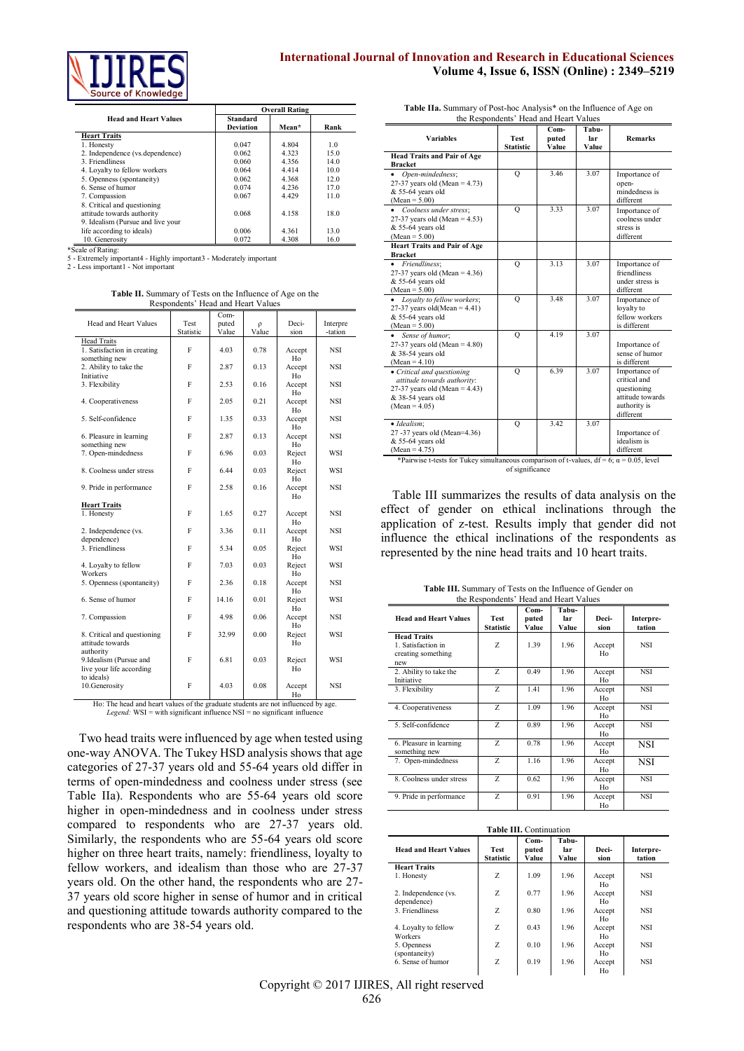

# **International Journal of Innovation and Research in Educational Sciences Volume 4, Issue 6, ISSN (Online) : 2349–5219**

|                                   |                              | <b>Overall Rating</b> |                |  |  |
|-----------------------------------|------------------------------|-----------------------|----------------|--|--|
| <b>Head and Heart Values</b>      | Standard<br><b>Deviation</b> | Mean*                 | Rank           |  |  |
| <b>Heart Traits</b>               |                              |                       |                |  |  |
| 1. Honesty                        | 0.047                        | 4 8 0 4               | 1 <sub>0</sub> |  |  |
| 2. Independence (vs.dependence)   | 0.062                        | 4 3 2 3               | 150            |  |  |
| 3 Friendliness                    | 0.060                        | 4.356                 | 140            |  |  |
| 4. Loyalty to fellow workers      | 0.064                        | 4414                  | 100            |  |  |
| 5. Openness (spontaneity)         | 0.062                        | 4 3 6 8               | 120            |  |  |
| 6 Sense of humor                  | 0 0 7 4                      | 4 2 3 6               | 170            |  |  |
| 7. Compassion                     | 0.067                        | 4 4 2 9               | 110            |  |  |
| 8. Critical and questioning       |                              |                       |                |  |  |
| attitude towards authority        | 0.068                        | 4.158                 | 180            |  |  |
| 9. Idealism (Pursue and live your |                              |                       |                |  |  |
| life according to ideals)         | 0.006                        | 4 3 6 1               | 130            |  |  |
| 10. Generosity                    | 0.072                        | 4.308                 | 16.0           |  |  |

\*Scale of Rating:

5 - Extremely important4 - Highly important3 - Moderately important

2 - Less important1 - Not important

**Table II.** Summary of Tests on the Influence of Age on the Respondents' Head and Heart Values

| Head and Heart Values                                            | Test<br>Statistic | Com-<br>puted<br>Value | $\Omega$<br>Value | Deci-<br>sion | Interpre<br>-tation |
|------------------------------------------------------------------|-------------------|------------------------|-------------------|---------------|---------------------|
| <b>Head Traits</b>                                               |                   |                        |                   |               |                     |
| 1. Satisfaction in creating<br>something new                     | F                 | 4.03                   | 0.78              | Accept<br>Ho  | <b>NSI</b>          |
| 2. Ability to take the<br>Initiative                             | F                 | 2.87                   | 0.13              | Accept<br>Ho  | NSI                 |
| 3. Flexibility                                                   | F                 | 2.53                   | 0.16              | Accept<br>Ho  | <b>NSI</b>          |
| 4. Cooperativeness                                               | F                 | 2.05                   | 021               | Accept<br>Ho  | NSI                 |
| 5 Self-confidence                                                | F                 | 1 3 5                  | 0.33              | Accept<br>Ho  | NSI                 |
| 6. Pleasure in learning<br>something new                         | F                 | 2.87                   | 0.13              | Accept<br>Ho  | <b>NSI</b>          |
| 7. Open-mindedness                                               | F                 | 696                    | 0.03              | Reject<br>Ho  | WSI                 |
| 8. Coolness under stress                                         | F                 | 6 4 4                  | 0.03              | Reject<br>Ho  | WSI                 |
| 9. Pride in performance                                          | F                 | 2.58                   | 0.16              | Accept<br>Ho  | NSI                 |
| <b>Heart Traits</b>                                              |                   |                        |                   |               |                     |
| 1. Honesty                                                       | F                 | 1.65                   | 0 27              | Accept<br>Ho  | <b>NSI</b>          |
| 2. Independence (vs.<br>dependence)                              | F                 | 3.36                   | 011               | Accept<br>Ho  | <b>NSI</b>          |
| 3 Friendliness                                                   | F                 | 5.34                   | 0.05              | Reject<br>Ho  | WSI                 |
| 4. Loyalty to fellow<br>Workers                                  | F                 | 7.03                   | 0.03              | Reject<br>Ho  | WSI                 |
| 5. Openness (spontaneity)                                        | F                 | 2.36                   | 0.18              | Accept<br>Ho  | <b>NSI</b>          |
| 6 Sense of humor                                                 | F                 | 14 16                  | 0.01              | Reject<br>Ho  | WSI                 |
| 7. Compassion                                                    | F                 | 498                    | 0.06              | Accept<br>Ho  | <b>NSI</b>          |
| 8. Critical and questioning<br>attitude towards<br>authority     | F                 | 32.99                  | 000               | Reject<br>Ho  | WSI                 |
| 9.Idealism (Pursue and<br>live your life according<br>to ideals) | F                 | 6.81                   | 0.03              | Reject<br>Ho  | WSI                 |
| 10. Generosity                                                   | F                 | 4.03                   | 0.08              | Accept        | <b>NSI</b>          |

Ho Ho: The head and heart values of the graduate students are not influenced by age. *Legend:* WSI = with significant influence NSI = no significant influence

Two head traits were influenced by age when tested using one-way ANOVA. The Tukey HSD analysis shows that age categories of 27-37 years old and 55-64 years old differ in terms of open-mindedness and coolness under stress (see Table IIa). Respondents who are 55-64 years old score higher in open-mindedness and in coolness under stress compared to respondents who are 27-37 years old. Similarly, the respondents who are 55-64 years old score higher on three heart traits, namely: friendliness, loyalty to fellow workers, and idealism than those who are 27-37 years old. On the other hand, the respondents who are 27- 37 years old score higher in sense of humor and in critical and questioning attitude towards authority compared to the respondents who are 38-54 years old.

| <b>Variables</b>                                                                                                                      | the respondents fread and freater andes<br><b>Test</b> | Com-<br>puted | Tabu-<br>lar | <b>Remarks</b>                                                                                |
|---------------------------------------------------------------------------------------------------------------------------------------|--------------------------------------------------------|---------------|--------------|-----------------------------------------------------------------------------------------------|
|                                                                                                                                       | <b>Statistic</b>                                       | Value         | Value        |                                                                                               |
| <b>Head Traits and Pair of Age</b><br><b>Bracket</b>                                                                                  |                                                        |               |              |                                                                                               |
| Open-mindedness;<br>$\bullet$<br>27-37 years old (Mean = $4.73$ )<br>& 55-64 years old<br>$(Mean = 5.00)$                             | $\circ$                                                | 3.46          | 3.07         | Importance of<br>open-<br>mindedness is<br>different                                          |
| Coolness under stress;<br>27-37 years old (Mean = $4.53$ )<br>& 55-64 years old<br>$(Mean = 5.00)$                                    | $\circ$                                                | 3.33          | 3.07         | Importance of<br>coolness under<br>stress is<br>different                                     |
| <b>Heart Traits and Pair of Age</b><br><b>Bracket</b>                                                                                 |                                                        |               |              |                                                                                               |
| Friendliness:<br>$\bullet$<br>27-37 years old (Mean = $4.36$ )<br>& 55-64 years old<br>$(Mean = 5.00)$                                | $\circ$                                                | 3.13          | 3.07         | Importance of<br>friendliness<br>under stress is<br>different                                 |
| Loyalty to fellow workers:<br>27-37 years old(Mean = $4.41$ )<br>& 55-64 years old<br>$(Mean = 5.00)$                                 | Q                                                      | 3.48          | 3.07         | Importance of<br>loyalty to<br>fellow workers<br>is different                                 |
| Sense of humor;<br>$\bullet$<br>27-37 years old (Mean = $4.80$ )<br>& 38-54 years old<br>$(Mean = 4.10)$                              | Q                                                      | 4.19          | 3.07         | Importance of<br>sense of humor<br>is different                                               |
| • Critical and questioning<br>attitude towards authority:<br>27-37 years old (Mean = $4.43$ )<br>& 38-54 years old<br>$(Mean = 4.05)$ | Q                                                      | 6.39          | 3.07         | Importance of<br>critical and<br>questioning<br>attitude towards<br>authority is<br>different |
| · Idealism;<br>27 -37 years old (Mean=4.36)<br>& 55-64 years old<br>$(Mean = 4.75)$                                                   | Q                                                      | 342           | 3.07         | Importance of<br>idealism is<br>different                                                     |
| *Pairwise t-tests for Tukey simultaneous comparison of t-values, $df = 6$ ; $\alpha = 0.05$ , level                                   | of significance                                        |               |              |                                                                                               |

**Table IIa.** Summary of Post-hoc Analysis<sup>\*</sup> on the Influence of Age on the Pennandonte' Head and Heart Velues the Respondents' Head and Heart Values

Table III summarizes the results of data analysis on the effect of gender on ethical inclinations through the application of z-test. Results imply that gender did not influence the ethical inclinations of the respondents as represented by the nine head traits and 10 heart traits.

| the Respondents' Head and Heart Values                                |                                 |                          |                       |                 |                     |
|-----------------------------------------------------------------------|---------------------------------|--------------------------|-----------------------|-----------------|---------------------|
| <b>Head and Heart Values</b>                                          | <b>Test</b><br><b>Statistic</b> | $Com-$<br>puted<br>Value | Tabu-<br>lar<br>Value | Deci-<br>sion   | Interpre-<br>tation |
| <b>Head Traits</b><br>1. Satisfaction in<br>creating something<br>new | Z                               | 139                      | 196                   | Accept<br>Ho    | <b>NSI</b>          |
| 2. Ability to take the<br>Initiative                                  | Z                               | 0.49                     | 196                   | Accept<br>$H_0$ | <b>NSI</b>          |
| 3. Flexibility                                                        | Z                               | 141                      | 1.96                  | Accept<br>$H_0$ | <b>NSI</b>          |
| 4. Cooperativeness                                                    | Z                               | 1.09                     | 1.96                  | Accept<br>Ho    | <b>NSI</b>          |
| 5 Self-confidence                                                     | Z                               | 0.89                     | 196                   | Accept<br>Ho    | <b>NSI</b>          |
| 6. Pleasure in learning<br>something new                              | Z                               | 0.78                     | 1.96                  | Accept<br>$H_0$ | <b>NSI</b>          |
| 7. Open-mindedness                                                    | Z                               | 1.16                     | 1.96                  | Accept<br>Ho    | <b>NSI</b>          |
| 8. Coolness under stress                                              | Z                               | 0.62                     | 1.96                  | Accept<br>Ho    | <b>NSI</b>          |
| 9. Pride in performance                                               | Z                               | 0.91                     | 196                   | Accept<br>Ho    | <b>NSI</b>          |

**Table III.** Summary of Tests on the Influence of Gender on

| Table III. Continuation             |                                 |                          |                       |                          |                     |  |
|-------------------------------------|---------------------------------|--------------------------|-----------------------|--------------------------|---------------------|--|
| <b>Head and Heart Values</b>        | <b>Test</b><br><b>Statistic</b> | $Com-$<br>puted<br>Value | Tabu-<br>lar<br>Value | Deci-<br>sion            | Interpre-<br>tation |  |
| <b>Heart Traits</b>                 |                                 |                          |                       |                          |                     |  |
| 1. Honesty                          | Z                               | 1.09                     | 1.96                  | Accept<br>H <sub>0</sub> | NSI                 |  |
| 2. Independence (vs.<br>dependence) | Z                               | 0.77                     | 196                   | Accept<br>H <sub>0</sub> | NSI                 |  |
| 3 Friendliness                      | Z                               | 0.80                     | 1.96                  | Accept<br>H <sub>0</sub> | NSI                 |  |
| 4. Loyalty to fellow<br>Workers     | Z                               | 0.43                     | 1.96                  | Accept<br>H <sub>0</sub> | NSI                 |  |
| 5. Openness<br>(spontaneity)        | Z                               | 010                      | 196                   | Accept<br>H <sub>0</sub> | <b>NSI</b>          |  |
| 6 Sense of humor                    | Z                               | 019                      | 196                   | Accept<br>Ho             | NSI                 |  |

Copyright © 2017 IJIRES, All right reserved 626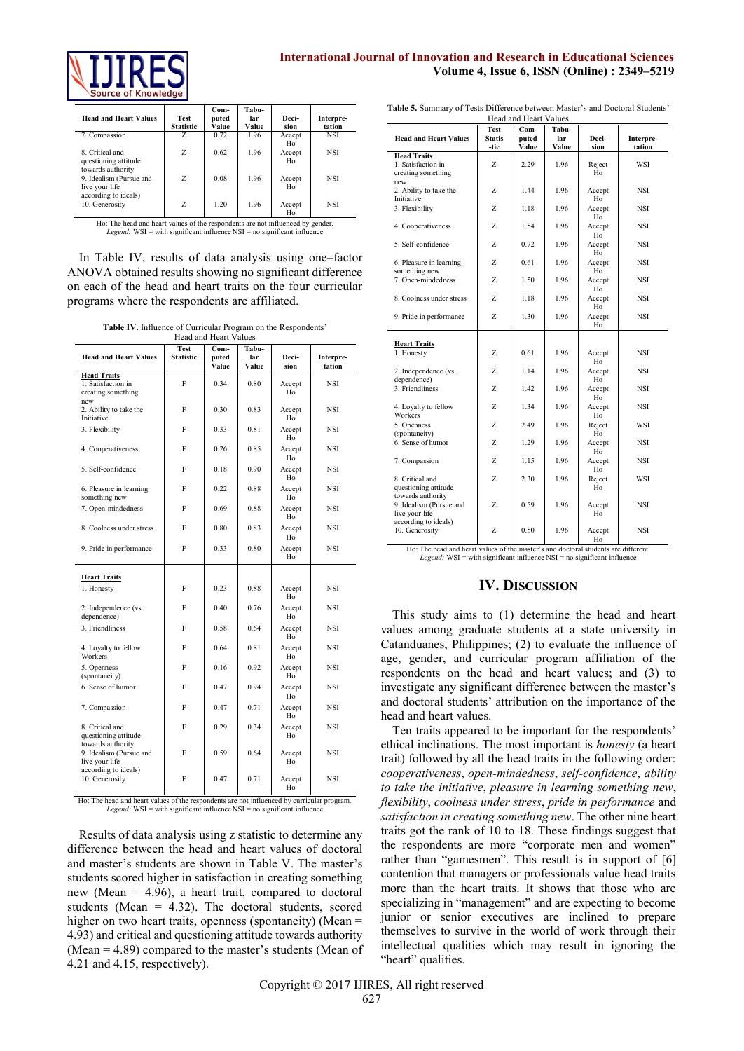

# **International Journal of Innovation and Research in Educational Sciences Volume 4, Issue 6, ISSN (Online) : 2349–5219**

| <b>Head and Heart Values</b>                                   | <b>Test</b><br><b>Statistic</b> | $Com-$<br>puted<br>Value | Tabu-<br>lar<br>Value | Deci-<br>sion | Interpre-<br>tation |
|----------------------------------------------------------------|---------------------------------|--------------------------|-----------------------|---------------|---------------------|
| 7. Compassion                                                  | Z                               | 0.72                     | 1.96                  | Accept<br>Ho  | <b>NSI</b>          |
| 8 Critical and<br>questioning attitude                         | Z                               | 0.62                     | 196                   | Accept<br>Ho  | <b>NSI</b>          |
| towards authority<br>9. Idealism (Pursue and<br>live your life | Z                               | 0.08                     | 196                   | Accept<br>Ho  | <b>NSI</b>          |
| according to ideals)<br>10. Generosity                         | Z                               | 1 20                     | 196                   | Accept<br>Ho  | <b>NSI</b>          |

Ho: The head and heart values of the respondents are not influenced by gender. *Legend:* WSI = with significant influence NSI = no significant influence

In Table IV, results of data analysis using one–factor ANOVA obtained results showing no significant difference on each of the head and heart traits on the four curricular programs where the respondents are affiliated.

**Table IV.** Influence of Curricular Program on the Respondents'

| Head and Heart Values                                             |                                 |                          |                       |               |                     |  |
|-------------------------------------------------------------------|---------------------------------|--------------------------|-----------------------|---------------|---------------------|--|
| <b>Head and Heart Values</b>                                      | <b>Test</b><br><b>Statistic</b> | $Com-$<br>puted<br>Value | Tabu-<br>lar<br>Value | Deci-<br>sion | Interpre-<br>tation |  |
| <b>Head Traits</b><br>1. Satisfaction in<br>creating something    | F                               | 0 34                     | 0.80                  | Accept<br>Ho  | <b>NSI</b>          |  |
| new<br>2. Ability to take the<br>Initiative                       | F                               | 0.30                     | 0.83                  | Accept<br>Ho  | NSI                 |  |
| 3. Flexibility                                                    | F                               | 0.33                     | 0.81                  | Accept<br>Ho  | <b>NSI</b>          |  |
| 4. Cooperativeness                                                | F                               | 0.26                     | 0.85                  | Accept<br>Ho  | NSI                 |  |
| 5. Self-confidence                                                | F                               | 0.18                     | 0.90                  | Accept<br>Ho  | NSI                 |  |
| 6. Pleasure in learning<br>something new                          | F                               | 0.22                     | 0.88                  | Accept<br>Ho  | NSI                 |  |
| 7. Open-mindedness                                                | F                               | 0.69                     | 0.88                  | Accept<br>Ho  | NSI                 |  |
| 8. Coolness under stress                                          | F                               | 0.80                     | 0.83                  | Accept<br>Ho  | NSI                 |  |
| 9. Pride in performance                                           | F                               | 0.33                     | 0.80                  | Accept<br>Ho  | <b>NSI</b>          |  |
| <b>Heart Traits</b>                                               |                                 |                          |                       |               |                     |  |
| 1. Honesty                                                        | F                               | 0.23                     | 0.88                  | Accept<br>Ho  | <b>NSI</b>          |  |
| 2. Independence (vs.<br>dependence)                               | F                               | 0.40                     | 0.76                  | Accept<br>Ho  | NSI                 |  |
| 3. Friendliness                                                   | F                               | 0.58                     | 0.64                  | Accept<br>Ho  | NSI                 |  |
| 4. Loyalty to fellow<br>Workers                                   | F                               | 0.64                     | 0.81                  | Accept<br>Ho  | <b>NSI</b>          |  |
| 5. Openness<br>(spontaneity)                                      | F                               | 0.16                     | 0.92                  | Accept<br>Ho  | NSI                 |  |
| 6. Sense of humor                                                 | F                               | 0.47                     | 0.94                  | Accept<br>Ho  | NSI                 |  |
| 7. Compassion                                                     | F                               | 0.47                     | 0.71                  | Accept<br>Ho  | NSI                 |  |
| 8. Critical and<br>questioning attitude<br>towards authority      | F                               | 0.29                     | 0.34                  | Accept<br>Ho  | NSI                 |  |
| 9. Idealism (Pursue and<br>live your life<br>according to ideals) | F                               | 0.59                     | 0.64                  | Accept<br>Ho  | NSI                 |  |
| 10. Generosity                                                    | F                               | 0.47                     | 0.71                  | Accept<br>Ho  | NSI                 |  |

Ho: The head and heart values of the respondents are not influenced by curricular program. *Legend:* WSI = with significant influence NSI = no significant influence

Results of data analysis using z statistic to determine any difference between the head and heart values of doctoral and master's students are shown in Table V. The master's students scored higher in satisfaction in creating something new (Mean = 4.96), a heart trait, compared to doctoral students (Mean  $= 4.32$ ). The doctoral students, scored higher on two heart traits, openness (spontaneity) (Mean = 4.93) and critical and questioning attitude towards authority (Mean = 4.89) compared to the master's students (Mean of 4.21 and 4.15, respectively).

| Table 5. Summary of Tests Difference between Master's and Doctoral Students' |
|------------------------------------------------------------------------------|
| Head and Heart Values                                                        |

|                                                                       |                               |                        | ricau anu rican<br>v alues |                    |                     |  |  |  |  |
|-----------------------------------------------------------------------|-------------------------------|------------------------|----------------------------|--------------------|---------------------|--|--|--|--|
| <b>Head and Heart Values</b>                                          | Test<br><b>Statis</b><br>-tic | Com-<br>puted<br>Value | Tabu-<br>lar<br>Value      | Deci-<br>sion      | Interpre-<br>tation |  |  |  |  |
| <b>Head Traits</b><br>1. Satisfaction in<br>creating something<br>new | Z                             | 2.29                   | 1.96                       | Reject<br>Ho       | WSI                 |  |  |  |  |
| 2. Ability to take the<br>Initiative                                  | Z                             | 1.44                   | 1.96                       | Accept<br>Ho       | NSI                 |  |  |  |  |
| 3. Flexibility                                                        | Z                             | 1.18                   | 1.96                       | Accept<br>Ho       | <b>NSI</b>          |  |  |  |  |
| 4. Cooperativeness                                                    | Z                             | 1.54                   | 1.96                       | Accept<br>Ho       | NSI                 |  |  |  |  |
| 5. Self-confidence                                                    | Z                             | 0.72                   | 1.96                       | Accept<br>Ho       | NSI                 |  |  |  |  |
| 6. Pleasure in learning<br>something new                              | Z                             | 0.61                   | 1.96                       | Accept<br>Ho       | <b>NSI</b>          |  |  |  |  |
| 7. Open-mindedness                                                    | Z                             | 1.50                   | 1.96                       | Accept<br>Ho       | <b>NSI</b>          |  |  |  |  |
| 8. Coolness under stress                                              | Z                             | 1.18                   | 1.96                       | Accept<br>Ho       | <b>NSI</b>          |  |  |  |  |
| 9. Pride in performance                                               | Z                             | 1.30                   | 196                        | Accept<br>Ho       | NSI                 |  |  |  |  |
| <b>Heart Traits</b><br>1. Honesty                                     | Z                             | 0.61                   | 1.96                       | Accept             | NSI                 |  |  |  |  |
| 2. Independence (vs.<br>dependence)                                   | Z                             | 1.14                   | 1.96                       | Ho<br>Accept<br>Ho | NSI                 |  |  |  |  |
| 3 Friendliness                                                        | Z                             | 142                    | 196                        | Accept<br>Ho       | <b>NSI</b>          |  |  |  |  |
| 4. Loyalty to fellow<br>Workers                                       | Z                             | 1.34                   | 196                        | Accept<br>Ho       | NSI                 |  |  |  |  |
| 5. Openness<br>(spontaneity)                                          | Z                             | 2.49                   | 1.96                       | Reject<br>Ho       | WSI                 |  |  |  |  |
| 6. Sense of humor                                                     | Z                             | 1.29                   | 1.96                       | Accept<br>Ho       | NSI                 |  |  |  |  |
| 7. Compassion                                                         | Z                             | 1.15                   | 196                        | Accept<br>Ho       | NSI                 |  |  |  |  |
| 8. Critical and<br>questioning attitude<br>towards authority          | Z                             | 2.30                   | 1.96                       | Reject<br>Ho       | WSI                 |  |  |  |  |
| 9. Idealism (Pursue and<br>live your life                             | Z                             | 0.59                   | 196                        | Accept<br>Ho       | NSI                 |  |  |  |  |
| according to ideals)<br>10. Generosity                                | Z                             | 0.50                   | 196                        | Accept<br>Ho       | NSI                 |  |  |  |  |

Ho: The head and heart values of the master's and doctoral students are different. *Legend:* WSI = with significant influence NSI = no significant influence

# **IV. DISCUSSION**

This study aims to (1) determine the head and heart values among graduate students at a state university in Catanduanes, Philippines; (2) to evaluate the influence of age, gender, and curricular program affiliation of the respondents on the head and heart values; and (3) to investigate any significant difference between the master's and doctoral students' attribution on the importance of the head and heart values.

Ten traits appeared to be important for the respondents' ethical inclinations. The most important is *honesty* (a heart trait) followed by all the head traits in the following order: *cooperativeness*, *open-mindedness*, *self-confidence*, *ability to take the initiative*, *pleasure in learning something new*, *flexibility*, *coolness under stress*, *pride in performance* and *satisfaction in creating something new*. The other nine heart traits got the rank of 10 to 18. These findings suggest that the respondents are more "corporate men and women" rather than "gamesmen". This result is in support of [6] contention that managers or professionals value head traits more than the heart traits. It shows that those who are specializing in "management" and are expecting to become junior or senior executives are inclined to prepare themselves to survive in the world of work through their intellectual qualities which may result in ignoring the "heart" qualities.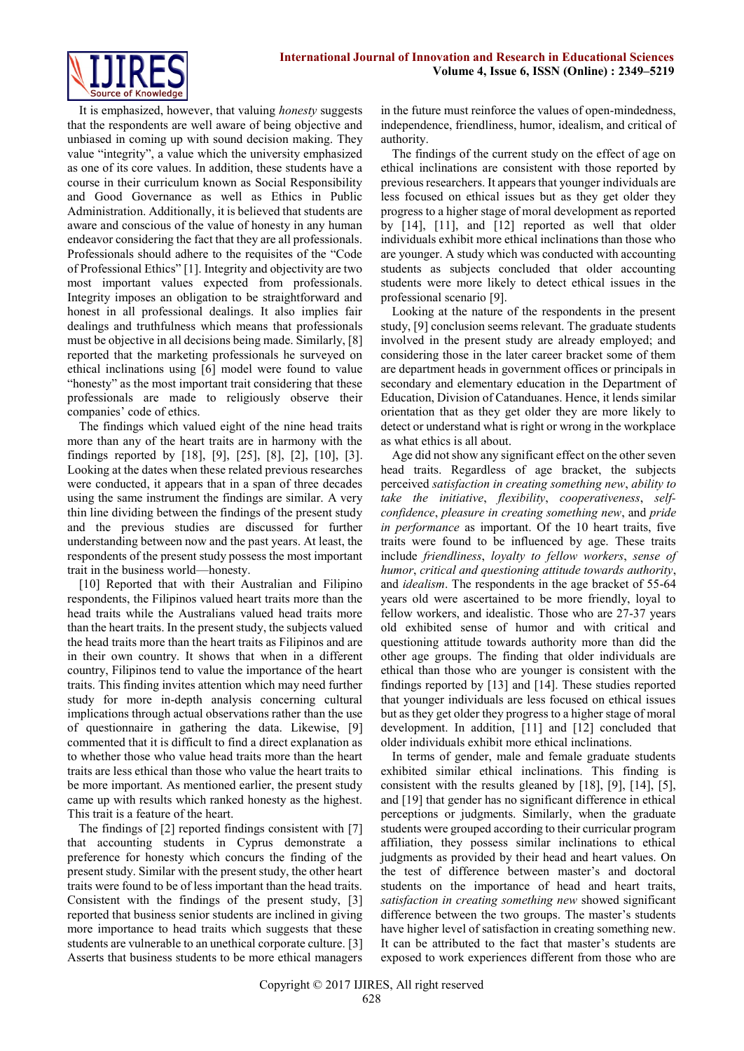

It is emphasized, however, that valuing *honesty* suggests that the respondents are well aware of being objective and unbiased in coming up with sound decision making. They value "integrity", a value which the university emphasized as one of its core values. In addition, these students have a course in their curriculum known as Social Responsibility and Good Governance as well as Ethics in Public Administration. Additionally, it is believed that students are aware and conscious of the value of honesty in any human endeavor considering the fact that they are all professionals. Professionals should adhere to the requisites of the "Code of Professional Ethics" [1]. Integrity and objectivity are two most important values expected from professionals. Integrity imposes an obligation to be straightforward and honest in all professional dealings. It also implies fair dealings and truthfulness which means that professionals must be objective in all decisions being made. Similarly, [8] reported that the marketing professionals he surveyed on ethical inclinations using [6] model were found to value "honesty" as the most important trait considering that these professionals are made to religiously observe their companies' code of ethics.

The findings which valued eight of the nine head traits more than any of the heart traits are in harmony with the findings reported by [18], [9], [25], [8], [2], [10], [3]. Looking at the dates when these related previous researches were conducted, it appears that in a span of three decades using the same instrument the findings are similar. A very thin line dividing between the findings of the present study and the previous studies are discussed for further understanding between now and the past years. At least, the respondents of the present study possess the most important trait in the business world—honesty.

[10] Reported that with their Australian and Filipino respondents, the Filipinos valued heart traits more than the head traits while the Australians valued head traits more than the heart traits. In the present study, the subjects valued the head traits more than the heart traits as Filipinos and are in their own country. It shows that when in a different country, Filipinos tend to value the importance of the heart traits. This finding invites attention which may need further study for more in-depth analysis concerning cultural implications through actual observations rather than the use of questionnaire in gathering the data. Likewise, [9] commented that it is difficult to find a direct explanation as to whether those who value head traits more than the heart traits are less ethical than those who value the heart traits to be more important. As mentioned earlier, the present study came up with results which ranked honesty as the highest. This trait is a feature of the heart.

The findings of [2] reported findings consistent with [7] that accounting students in Cyprus demonstrate a preference for honesty which concurs the finding of the present study. Similar with the present study, the other heart traits were found to be of less important than the head traits. Consistent with the findings of the present study, [3] reported that business senior students are inclined in giving more importance to head traits which suggests that these students are vulnerable to an unethical corporate culture. [3] Asserts that business students to be more ethical managers in the future must reinforce the values of open-mindedness, independence, friendliness, humor, idealism, and critical of authority.

The findings of the current study on the effect of age on ethical inclinations are consistent with those reported by previous researchers. It appears that younger individuals are less focused on ethical issues but as they get older they progress to a higher stage of moral development as reported by [14], [11], and [12] reported as well that older individuals exhibit more ethical inclinations than those who are younger. A study which was conducted with accounting students as subjects concluded that older accounting students were more likely to detect ethical issues in the professional scenario [9].

Looking at the nature of the respondents in the present study, [9] conclusion seems relevant. The graduate students involved in the present study are already employed; and considering those in the later career bracket some of them are department heads in government offices or principals in secondary and elementary education in the Department of Education, Division of Catanduanes. Hence, it lends similar orientation that as they get older they are more likely to detect or understand what is right or wrong in the workplace as what ethics is all about.

Age did not show any significant effect on the other seven head traits. Regardless of age bracket, the subjects perceived *satisfaction in creating something new*, *ability to take the initiative*, *flexibility*, *cooperativeness*, *selfconfidence*, *pleasure in creating something new*, and *pride in performance* as important. Of the 10 heart traits, five traits were found to be influenced by age. These traits include *friendliness*, *loyalty to fellow workers*, *sense of humor*, *critical and questioning attitude towards authority*, and *idealism*. The respondents in the age bracket of 55-64 years old were ascertained to be more friendly, loyal to fellow workers, and idealistic. Those who are 27-37 years old exhibited sense of humor and with critical and questioning attitude towards authority more than did the other age groups. The finding that older individuals are ethical than those who are younger is consistent with the findings reported by [13] and [14]. These studies reported that younger individuals are less focused on ethical issues but as they get older they progress to a higher stage of moral development. In addition, [11] and [12] concluded that older individuals exhibit more ethical inclinations.

In terms of gender, male and female graduate students exhibited similar ethical inclinations. This finding is consistent with the results gleaned by [18], [9], [14], [5], and [19] that gender has no significant difference in ethical perceptions or judgments. Similarly, when the graduate students were grouped according to their curricular program affiliation, they possess similar inclinations to ethical judgments as provided by their head and heart values. On the test of difference between master's and doctoral students on the importance of head and heart traits, *satisfaction in creating something new* showed significant difference between the two groups. The master's students have higher level of satisfaction in creating something new. It can be attributed to the fact that master's students are exposed to work experiences different from those who are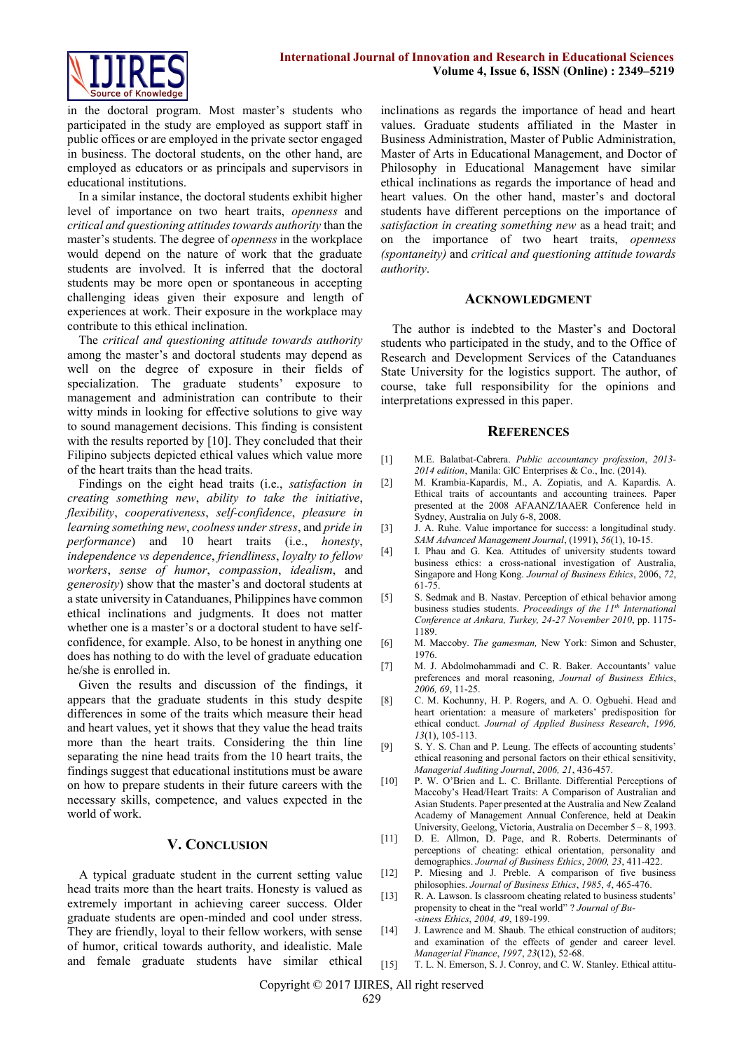

in the doctoral program. Most master's students who participated in the study are employed as support staff in public offices or are employed in the private sector engaged in business. The doctoral students, on the other hand, are employed as educators or as principals and supervisors in educational institutions.

In a similar instance, the doctoral students exhibit higher level of importance on two heart traits, *openness* and *critical and questioning attitudes towards authority* than the master's students. The degree of *openness* in the workplace would depend on the nature of work that the graduate students are involved. It is inferred that the doctoral students may be more open or spontaneous in accepting challenging ideas given their exposure and length of experiences at work. Their exposure in the workplace may contribute to this ethical inclination.

The *critical and questioning attitude towards authority* among the master's and doctoral students may depend as well on the degree of exposure in their fields of specialization. The graduate students' exposure to management and administration can contribute to their witty minds in looking for effective solutions to give way to sound management decisions. This finding is consistent with the results reported by [10]. They concluded that their Filipino subjects depicted ethical values which value more of the heart traits than the head traits.

Findings on the eight head traits (i.e., *satisfaction in creating something new*, *ability to take the initiative*, *flexibility*, *cooperativeness*, *self-confidence*, *pleasure in learning something new*, *coolness under stress*, and *pride in performance*) and 10 heart traits (i.e., *honesty*, *independence vs dependence*, *friendliness*, *loyalty to fellow workers*, *sense of humor*, *compassion*, *idealism*, and *generosity*) show that the master's and doctoral students at a state university in Catanduanes, Philippines have common ethical inclinations and judgments. It does not matter whether one is a master's or a doctoral student to have selfconfidence, for example. Also, to be honest in anything one does has nothing to do with the level of graduate education he/she is enrolled in.

Given the results and discussion of the findings, it appears that the graduate students in this study despite differences in some of the traits which measure their head and heart values, yet it shows that they value the head traits more than the heart traits. Considering the thin line separating the nine head traits from the 10 heart traits, the findings suggest that educational institutions must be aware on how to prepare students in their future careers with the necessary skills, competence, and values expected in the world of work.

## **V. CONCLUSION**

A typical graduate student in the current setting value head traits more than the heart traits. Honesty is valued as extremely important in achieving career success. Older graduate students are open-minded and cool under stress. They are friendly, loyal to their fellow workers, with sense of humor, critical towards authority, and idealistic. Male and female graduate students have similar ethical inclinations as regards the importance of head and heart values. Graduate students affiliated in the Master in Business Administration, Master of Public Administration, Master of Arts in Educational Management, and Doctor of Philosophy in Educational Management have similar ethical inclinations as regards the importance of head and heart values. On the other hand, master's and doctoral students have different perceptions on the importance of *satisfaction in creating something new* as a head trait; and on the importance of two heart traits, *openness (spontaneity)* and *critical and questioning attitude towards authority*.

#### **ACKNOWLEDGMENT**

The author is indebted to the Master's and Doctoral students who participated in the study, and to the Office of Research and Development Services of the Catanduanes State University for the logistics support. The author, of course, take full responsibility for the opinions and interpretations expressed in this paper.

# **REFERENCES**

- [1] M.E. Balatbat-Cabrera. *Public accountancy profession*, *2013- 2014 edition*, Manila: GIC Enterprises & Co., Inc. (2014).
- [2] M. Krambia-Kapardis, M., A. Zopiatis, and A. Kapardis. A. Ethical traits of accountants and accounting trainees. Paper presented at the 2008 AFAANZ/IAAER Conference held in Sydney, Australia on July 6-8, 2008.
- [3] J. A. Ruhe. Value importance for success: a longitudinal study. *SAM Advanced Management Journal*, (1991), *56*(1), 10-15.
- [4] I. Phau and G. Kea. Attitudes of university students toward business ethics: a cross-national investigation of Australia, Singapore and Hong Kong. *Journal of Business Ethics*, 2006, *72*, 61-75.
- [5] S. Sedmak and B. Nastav. Perception of ethical behavior among business studies students. *Proceedings of the 11th International Conference at Ankara, Turkey, 24-27 November 2010*, pp. 1175- 1189.
- [6] M. Maccoby. *The gamesman,* New York: Simon and Schuster, 1976.
- [7] M. J. Abdolmohammadi and C. R. Baker. Accountants' value preferences and moral reasoning, *Journal of Business Ethics*, *2006, 69*, 11-25.
- [8] C. M. Kochunny, H. P. Rogers, and A. O. Ogbuehi. Head and heart orientation: a measure of marketers' predisposition for ethical conduct. *Journal of Applied Business Research*, *1996, 13*(1), 105-113.
- [9] S. Y. S. Chan and P. Leung. The effects of accounting students' ethical reasoning and personal factors on their ethical sensitivity, *Managerial Auditing Journal*, *2006, 21*, 436-457.
- [10] P. W. O'Brien and L. C. Brillante. Differential Perceptions of Maccoby's Head/Heart Traits: A Comparison of Australian and Asian Students. Paper presented at the Australia and New Zealand Academy of Management Annual Conference, held at Deakin University, Geelong, Victoria, Australia on December 5 – 8, 1993.
- [11] D. E. Allmon, D. Page, and R. Roberts. Determinants of perceptions of cheating: ethical orientation, personality and demographics. *Journal of Business Ethics*, *2000, 23*, 411-422.
- [12] P. Miesing and J. Preble. A comparison of five business philosophies. *Journal of Business Ethics*, *1985*, *4*, 465-476.
- [13] R. A. Lawson. Is classroom cheating related to business students' propensity to cheat in the "real world" ? *Journal of Bu- -siness Ethics*, *2004, 49*, 189-199.
- [14] J. Lawrence and M. Shaub. The ethical construction of auditors; and examination of the effects of gender and career level. *Managerial Finance*, *1997*, *23*(12), 52-68.
- [15] T. L. N. Emerson, S. J. Conroy, and C. W. Stanley. Ethical attitu-